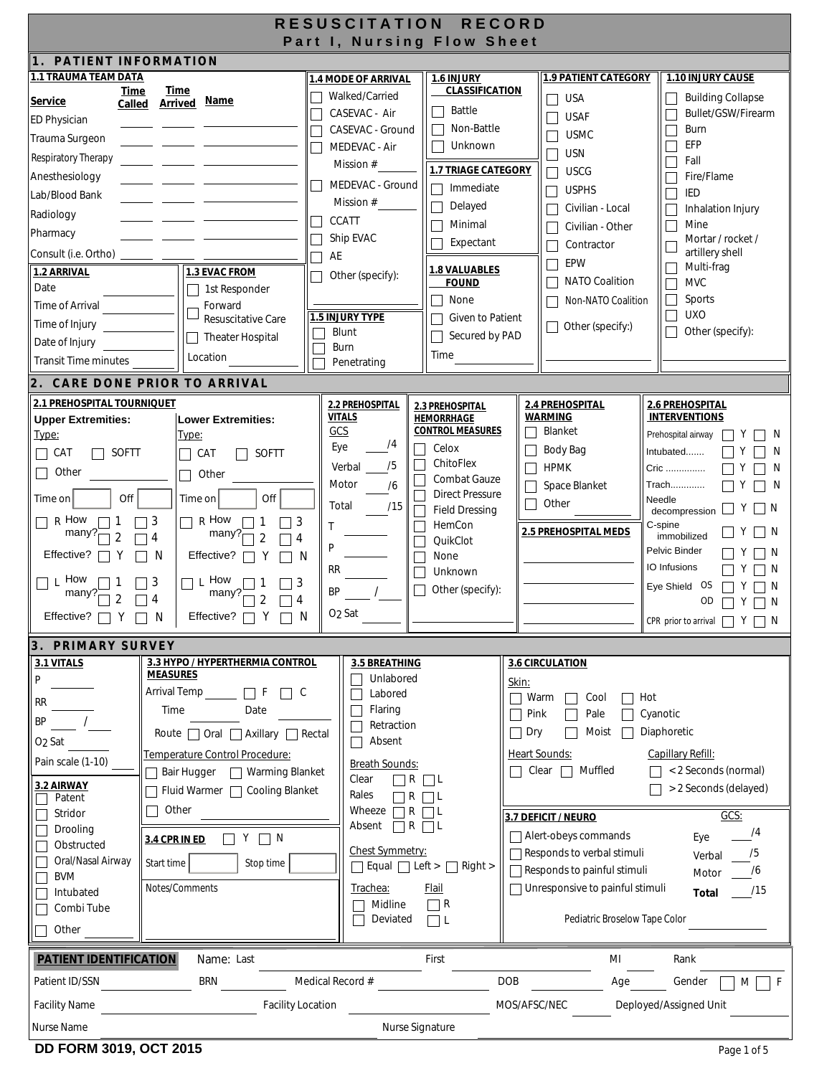| <b>RESUSCITATION</b><br><b>RECORD</b><br>Part I, Nursing Flow Sheet                                                                                                                                                                 |                                                                                                                                                                                                                                                                                                                                                    |                                                                                                                                                                                                                                                           |                                                                                                                                                                                                                       |                                                                                                                                                                                                                                                                                                        |                                                                                                                                                                                                                                                                                                                             |  |  |
|-------------------------------------------------------------------------------------------------------------------------------------------------------------------------------------------------------------------------------------|----------------------------------------------------------------------------------------------------------------------------------------------------------------------------------------------------------------------------------------------------------------------------------------------------------------------------------------------------|-----------------------------------------------------------------------------------------------------------------------------------------------------------------------------------------------------------------------------------------------------------|-----------------------------------------------------------------------------------------------------------------------------------------------------------------------------------------------------------------------|--------------------------------------------------------------------------------------------------------------------------------------------------------------------------------------------------------------------------------------------------------------------------------------------------------|-----------------------------------------------------------------------------------------------------------------------------------------------------------------------------------------------------------------------------------------------------------------------------------------------------------------------------|--|--|
| PATIENT INFORMATION                                                                                                                                                                                                                 |                                                                                                                                                                                                                                                                                                                                                    |                                                                                                                                                                                                                                                           |                                                                                                                                                                                                                       |                                                                                                                                                                                                                                                                                                        |                                                                                                                                                                                                                                                                                                                             |  |  |
| <b>1.1 TRAUMA TEAM DATA</b><br>Time<br>Service<br>Called                                                                                                                                                                            | <b>Time</b><br><b>Arrived Name</b>                                                                                                                                                                                                                                                                                                                 | 1.4 MODE OF ARRIVAL<br>Walked/Carried<br>CASEVAC - Air                                                                                                                                                                                                    | 1.6 INJURY<br><b>CLASSIFICATION</b><br>Battle                                                                                                                                                                         | <b>1.9 PATIENT CATEGORY</b><br><b>USA</b><br><b>USAF</b>                                                                                                                                                                                                                                               | 1.10 INJURY CAUSE<br><b>Building Collapse</b><br>Bullet/GSW/Firearm                                                                                                                                                                                                                                                         |  |  |
| <b>ED Physician</b><br>Trauma Surgeon<br>Respiratory Therapy                                                                                                                                                                        |                                                                                                                                                                                                                                                                                                                                                    | CASEVAC - Ground<br>MEDEVAC - Air                                                                                                                                                                                                                         | Non-Battle<br>Unknown                                                                                                                                                                                                 | <b>USMC</b><br><b>USN</b>                                                                                                                                                                                                                                                                              | Burn<br>EFP<br>Fall                                                                                                                                                                                                                                                                                                         |  |  |
| Anesthesiology<br>Lab/Blood Bank                                                                                                                                                                                                    |                                                                                                                                                                                                                                                                                                                                                    | Mission #<br>MEDEVAC - Ground                                                                                                                                                                                                                             | <b>1.7 TRIAGE CATEGORY</b><br>Immediate                                                                                                                                                                               | <b>USCG</b><br><b>USPHS</b>                                                                                                                                                                                                                                                                            | Fire/Flame<br><b>IED</b>                                                                                                                                                                                                                                                                                                    |  |  |
| Radiology<br>Pharmacy                                                                                                                                                                                                               |                                                                                                                                                                                                                                                                                                                                                    | Mission #<br><b>CCATT</b><br>Ship EVAC                                                                                                                                                                                                                    | Delayed<br>Minimal                                                                                                                                                                                                    | Civilian - Local<br>Civilian - Other                                                                                                                                                                                                                                                                   | Inhalation Injury<br>Mine<br>Mortar / rocket /                                                                                                                                                                                                                                                                              |  |  |
| Consult (i.e. Ortho)                                                                                                                                                                                                                |                                                                                                                                                                                                                                                                                                                                                    | AE                                                                                                                                                                                                                                                        | Expectant                                                                                                                                                                                                             | Contractor                                                                                                                                                                                                                                                                                             | artillery shell                                                                                                                                                                                                                                                                                                             |  |  |
| 1.2 ARRIVAL<br>Date                                                                                                                                                                                                                 | 1.3 EVAC FROM<br>1st Responder<br>Forward                                                                                                                                                                                                                                                                                                          | Other (specify):                                                                                                                                                                                                                                          | 1.8 VALUABLES<br><b>FOUND</b><br>None                                                                                                                                                                                 | EPW<br><b>NATO Coalition</b><br>Non-NATO Coalition                                                                                                                                                                                                                                                     | Multi-frag<br><b>MVC</b><br>Sports<br>$\Box$                                                                                                                                                                                                                                                                                |  |  |
| Time of Arrival<br>Time of Injury<br>Date of Injury                                                                                                                                                                                 | <b>Resuscitative Care</b><br><b>Theater Hospital</b>                                                                                                                                                                                                                                                                                               | <b>1.5 INJURY TYPE</b><br>Blunt<br>Burn                                                                                                                                                                                                                   | Given to Patient<br>Secured by PAD                                                                                                                                                                                    | Other (specify:)<br>$\Box$                                                                                                                                                                                                                                                                             | <b>UXO</b><br>Other (specify):                                                                                                                                                                                                                                                                                              |  |  |
| <b>Transit Time minutes</b>                                                                                                                                                                                                         | Location                                                                                                                                                                                                                                                                                                                                           | Penetrating                                                                                                                                                                                                                                               | Time                                                                                                                                                                                                                  |                                                                                                                                                                                                                                                                                                        |                                                                                                                                                                                                                                                                                                                             |  |  |
|                                                                                                                                                                                                                                     | 2. CARE DONE PRIOR TO ARRIVAL                                                                                                                                                                                                                                                                                                                      |                                                                                                                                                                                                                                                           |                                                                                                                                                                                                                       |                                                                                                                                                                                                                                                                                                        |                                                                                                                                                                                                                                                                                                                             |  |  |
| <b>2.1 PREHOSPITAL TOURNIQUET</b><br><b>Upper Extremities:</b><br>Type:<br>SOFTT<br>CAT<br>Other<br>Off<br>Time on<br>$\prod R$ How<br>many?<br>$\overline{2}$<br>Effective?<br>How<br>▔▏Ľ<br>many?<br>Effective? $\Box$ Y $\Box$ N | <b>Lower Extremities:</b><br><u>Type:</u><br>SOFTT<br>CAT<br>$\mathbf{L}$<br>Other<br><b>I</b><br>Off<br>Time on<br>R How<br>3<br>$\vert$ 3<br>L.<br>many?<br>$\overline{4}$<br>$\overline{2}$<br>4<br>Effective? [<br>N<br>- N<br>$\Box$ L How<br>3<br>3<br>many?<br>$\overline{4}$<br>2<br>4<br>Effective? $\Box$ Y $\Box$ N                     | 2.2 PREHOSPITAL<br><b>VITALS</b><br>GCS<br>74<br>Eye<br>$\mathsf{L}$<br>$\Box$<br>/5<br>Verbal<br>Motor<br>76<br>Total<br>/15<br>$\Box$<br>Т<br>$\mathbf{L}$<br>P<br><b>RR</b><br>$\mathbf{L}$<br>$\mathsf{L}$<br>BP<br>O <sub>2</sub> Sat                | 2.3 PREHOSPITAL<br><b>HEMORRHAGE</b><br><b>CONTROL MEASURES</b><br>Celox<br>ChitoFlex<br>Combat Gauze<br><b>Direct Pressure</b><br><b>Field Dressing</b><br>HemCon<br>QuikClot<br>None<br>Unknown<br>Other (specify): | 2.4 PREHOSPITAL<br><b>WARMING</b><br>Blanket<br>Body Bag<br><b>HPMK</b><br>Space Blanket<br>Other<br>2.5 PREHOSPITAL MEDS                                                                                                                                                                              | 2.6 PREHOSPITAL<br><b>INTERVENTIONS</b><br>Prehospital airway<br>Y<br>N<br>Intubated<br>N<br>Cric<br>Y<br>N<br>Trach<br>Y<br>-N<br>Needle<br>∐ N<br>decompression<br>C-spine<br>IN<br>immobilized<br>Pelvic Binder<br>-N<br>IO Infusions<br>N<br>Eye Shield OS<br>N<br>OD<br>Y<br>N<br>CPR prior to arrival $\Box Y \Box N$ |  |  |
| <b>3. PRIMARY SURVEY</b>                                                                                                                                                                                                            |                                                                                                                                                                                                                                                                                                                                                    |                                                                                                                                                                                                                                                           |                                                                                                                                                                                                                       |                                                                                                                                                                                                                                                                                                        |                                                                                                                                                                                                                                                                                                                             |  |  |
| 3.1 VITALS<br>P<br><b>RR</b><br>BP<br>O <sub>2</sub> Sat<br>Pain scale (1-10)<br>3.2 AIRWAY<br>Patent<br>Stridor<br>Drooling<br>Obstructed<br>Oral/Nasal Airway<br><b>BVM</b><br>Intubated<br>Combi Tube<br>Other                   | 3.3 HYPO / HYPERTHERMIA CONTROL<br><b>MEASURES</b><br>Arrival Temp<br>-F<br>$\Box$ c<br>Time<br>Date<br>Route $\Box$ Oral $\Box$ Axillary $\Box$ Rectal<br>Temperature Control Procedure:<br>□ Warming Blanket<br>Bair Hugger<br>Fluid Warmer □ Cooling Blanket<br>Other<br>$\Box$ N<br>3.4 CPR IN ED<br>Start time<br>Stop time<br>Notes/Comments | 3.5 BREATHING<br>Unlabored<br>Labored<br>Flaring<br>Retraction<br>Absent<br><b>Breath Sounds:</b><br>Clear<br>$\Box$ R $\Box$ L<br>Rales<br>$\overline{R}$<br>Wheeze<br>$\Box$ R $\Box$ L<br>Absent<br>Chest Symmetry:<br>Trachea:<br>Midline<br>Deviated | $\Box$ L<br>$R$ $\Box$<br>Equal $\Box$ Left > $\Box$ Right ><br><b>Flail</b><br>$\Box$ R<br>$\Box$ L                                                                                                                  | 3.6 CIRCULATION<br>Skin:<br>Warm<br>Cool<br>Pale<br>Pink<br>Dry<br>Moist<br><b>Heart Sounds:</b><br>Muffled<br>Clear<br>3.7 DEFICIT / NEURO<br>Alert-obeys commands<br>Responds to verbal stimuli<br>Responds to painful stimuli<br>□ Unresponsive to painful stimuli<br>Pediatric Broselow Tape Color | Hot<br>Cyanotic<br>Diaphoretic<br>Capillary Refill:<br>< 2 Seconds (normal)<br>> 2 Seconds (delayed)<br>$GCS$ :<br>/4<br>Eye<br>/5<br>Verbal<br>/6<br>Motor<br>/15<br><b>Total</b>                                                                                                                                          |  |  |
| <b>PATIENT IDENTIFICATION</b>                                                                                                                                                                                                       | Name: Last                                                                                                                                                                                                                                                                                                                                         |                                                                                                                                                                                                                                                           | First                                                                                                                                                                                                                 | MI                                                                                                                                                                                                                                                                                                     | Rank                                                                                                                                                                                                                                                                                                                        |  |  |
| Patient ID/SSN                                                                                                                                                                                                                      | <b>BRN</b>                                                                                                                                                                                                                                                                                                                                         | Medical Record #                                                                                                                                                                                                                                          |                                                                                                                                                                                                                       | <b>DOB</b><br>Age                                                                                                                                                                                                                                                                                      | Gender<br>F<br>M                                                                                                                                                                                                                                                                                                            |  |  |
| <b>Facility Name</b>                                                                                                                                                                                                                | <b>Facility Location</b>                                                                                                                                                                                                                                                                                                                           |                                                                                                                                                                                                                                                           |                                                                                                                                                                                                                       | MOS/AFSC/NEC                                                                                                                                                                                                                                                                                           | Deployed/Assigned Unit                                                                                                                                                                                                                                                                                                      |  |  |
| Nurse Signature<br>Nurse Name                                                                                                                                                                                                       |                                                                                                                                                                                                                                                                                                                                                    |                                                                                                                                                                                                                                                           |                                                                                                                                                                                                                       |                                                                                                                                                                                                                                                                                                        |                                                                                                                                                                                                                                                                                                                             |  |  |
| DD FORM 3019, OCT 2015                                                                                                                                                                                                              |                                                                                                                                                                                                                                                                                                                                                    |                                                                                                                                                                                                                                                           |                                                                                                                                                                                                                       |                                                                                                                                                                                                                                                                                                        | Page 1 of 5                                                                                                                                                                                                                                                                                                                 |  |  |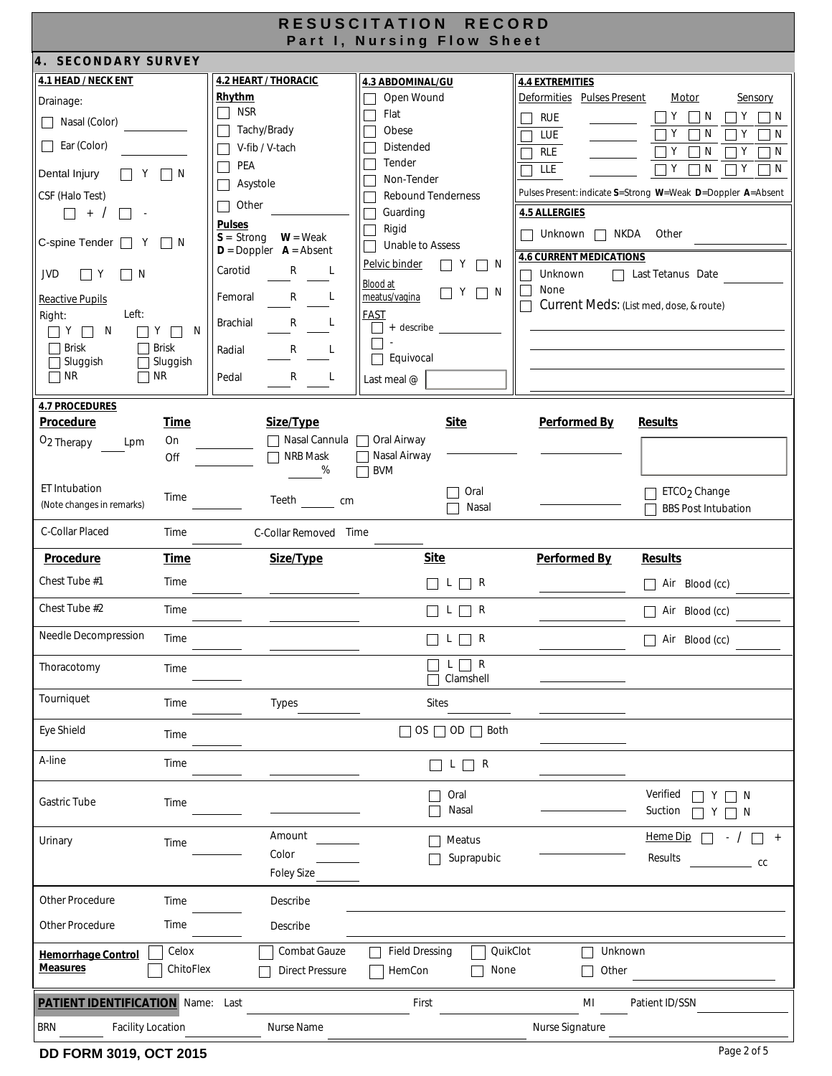| RESUSCITATION RECORD<br>Part I, Nursing Flow Sheet                                                                                                                                                                                                                                                                                                                                                             |                                                                                                                                                                                                                                      |                                                                                                         |                                                                                                                                                                                                                                                                                                               |                                                                                                                                                                                                                                                                               |                                                                                                                                                                                                                                                           |  |
|----------------------------------------------------------------------------------------------------------------------------------------------------------------------------------------------------------------------------------------------------------------------------------------------------------------------------------------------------------------------------------------------------------------|--------------------------------------------------------------------------------------------------------------------------------------------------------------------------------------------------------------------------------------|---------------------------------------------------------------------------------------------------------|---------------------------------------------------------------------------------------------------------------------------------------------------------------------------------------------------------------------------------------------------------------------------------------------------------------|-------------------------------------------------------------------------------------------------------------------------------------------------------------------------------------------------------------------------------------------------------------------------------|-----------------------------------------------------------------------------------------------------------------------------------------------------------------------------------------------------------------------------------------------------------|--|
| 4. SECONDARY SURVEY                                                                                                                                                                                                                                                                                                                                                                                            |                                                                                                                                                                                                                                      |                                                                                                         |                                                                                                                                                                                                                                                                                                               |                                                                                                                                                                                                                                                                               |                                                                                                                                                                                                                                                           |  |
| 4.1 HEAD / NECK ENT<br>Drainage:<br>□ Nasal (Color)<br>$\Box$ Ear (Color)<br>Dental Injury<br>$\Box$ Y $\Box$ N<br>CSF (Halo Test)<br>$\Box$ + /<br>$\sim$<br>C-spine Tender  <br>IN.<br>Y<br>JVD<br>$\Box$ Y<br>$\Box$ N<br><b>Reactive Pupils</b><br>Left:<br>Right:<br>$\Box$ Y $\Box$ N<br>$\Box$ Y $\Box$ N<br>$\sqsupset$ Brisk<br>$\Box$ Brisk<br>Sluggish<br>$\Box$ Sluggish<br>$\Box$ NR<br>$\Box$ NR | <b>4.2 HEART / THORACIC</b><br>Rhythm<br>$\Box$ NSR<br>Tachy/Brady<br>V-fib / V-tach<br>PEA<br>Asystole<br>Other<br><b>Pulses</b><br>$S =$ Strong<br>$D = Doppler$ $A = Absent$<br>Carotid<br>Femoral<br>Brachial<br>Radial<br>Pedal | $W = Weak$<br>$\mathsf{R}$<br>L<br>R L<br>$\mathsf{R}$<br>$\mathsf{R}$<br>L<br>R L                      | 4.3 ABDOMINAL/GU<br>Open Wound<br>Flat<br>Obese<br>Distended<br>Tender<br>Non-Tender<br><b>Rebound Tenderness</b><br>Guarding<br>Rigid<br>Unable to Assess<br>Pelvic binder<br>$\mathsf{I} \mathsf{I}$<br>$ $   N<br>Blood at<br>$\Box$ Y $\Box$ N<br>meatus/vagina<br><b>FAST</b><br>+ describe<br>Equivocal | <b>4.4 EXTREMITIES</b><br>Deformities Pulses Present<br><b>RUE</b><br>LUE<br>rle<br>LLE<br><b>4.5 ALLERGIES</b><br>□ Unknown □ NKDA Other<br><b>4.6 CURRENT MEDICATIONS</b><br>Unknown<br>$\Box$<br>None<br>$\Box$<br>Current Meds: (List med, dose, & route)<br>$\mathbf{L}$ | Motor<br>Sensory<br>Y<br>N<br>Y<br>$\Box$<br>N<br>$\mathsf{L}$<br>Υ<br>N<br>Y<br>N<br>Υ<br>$\mathsf{N}$<br>Y<br>N<br>$\Box$ Y<br>$\top$ Y<br>N<br>N<br>$\perp$<br>Pulses Present: indicate S=Strong W=Weak D=Doppler A=Absent<br>$\Box$ Last Tetanus Date |  |
| <b>4.7 PROCEDURES</b><br>Procedure<br><b>Time</b><br>On<br>O <sub>2</sub> Therapy<br>Lpm<br>Off<br>ET Intubation<br>Time<br>(Note changes in remarks)<br>C-Collar Placed<br>Time                                                                                                                                                                                                                               |                                                                                                                                                                                                                                      | Size/Type<br>□ Nasal Cannula □ Oral Airway<br>$\Box$ NRB Mask<br>%<br>Teeth cm<br>C-Collar Removed Time | Last meal @<br><b>Site</b><br>Nasal Airway<br><b>BVM</b><br>Oral<br>Nasal<br>$\Box$                                                                                                                                                                                                                           | <b>Performed By</b>                                                                                                                                                                                                                                                           | <b>Results</b><br>ETCO <sub>2</sub> Change<br><b>BBS Post Intubation</b>                                                                                                                                                                                  |  |
| Procedure<br><b>Time</b>                                                                                                                                                                                                                                                                                                                                                                                       |                                                                                                                                                                                                                                      | Size/Type                                                                                               | <b>Site</b>                                                                                                                                                                                                                                                                                                   | Performed By                                                                                                                                                                                                                                                                  | <b>Results</b>                                                                                                                                                                                                                                            |  |
| Chest Tube #1<br>Time                                                                                                                                                                                                                                                                                                                                                                                          |                                                                                                                                                                                                                                      |                                                                                                         | $\Box$ L $\Box$ R                                                                                                                                                                                                                                                                                             |                                                                                                                                                                                                                                                                               | Air Blood (cc)<br>$\Box$                                                                                                                                                                                                                                  |  |
| Chest Tube #2<br>Time                                                                                                                                                                                                                                                                                                                                                                                          |                                                                                                                                                                                                                                      |                                                                                                         | $\begin{array}{c} \square \ \mathsf{L} \ \square \ \mathsf{R} \end{array}$                                                                                                                                                                                                                                    |                                                                                                                                                                                                                                                                               | Air Blood (cc)<br>$\Box$                                                                                                                                                                                                                                  |  |
| <b>Needle Decompression</b><br>Time                                                                                                                                                                                                                                                                                                                                                                            |                                                                                                                                                                                                                                      |                                                                                                         | $\Box$ R<br>L.                                                                                                                                                                                                                                                                                                |                                                                                                                                                                                                                                                                               | Air Blood (cc)                                                                                                                                                                                                                                            |  |
| Thoracotomy<br>Time                                                                                                                                                                                                                                                                                                                                                                                            |                                                                                                                                                                                                                                      |                                                                                                         | $L \Box R$<br>Clamshell                                                                                                                                                                                                                                                                                       |                                                                                                                                                                                                                                                                               |                                                                                                                                                                                                                                                           |  |
| Tourniquet<br>Time                                                                                                                                                                                                                                                                                                                                                                                             |                                                                                                                                                                                                                                      | <b>Types</b>                                                                                            | <b>Sites</b>                                                                                                                                                                                                                                                                                                  |                                                                                                                                                                                                                                                                               |                                                                                                                                                                                                                                                           |  |
| Eye Shield<br>Time                                                                                                                                                                                                                                                                                                                                                                                             |                                                                                                                                                                                                                                      |                                                                                                         | $OS \square OD \square Both$                                                                                                                                                                                                                                                                                  |                                                                                                                                                                                                                                                                               |                                                                                                                                                                                                                                                           |  |
| A-line<br>Time                                                                                                                                                                                                                                                                                                                                                                                                 |                                                                                                                                                                                                                                      |                                                                                                         | $\Box$ L $\Box$ R                                                                                                                                                                                                                                                                                             |                                                                                                                                                                                                                                                                               |                                                                                                                                                                                                                                                           |  |
| Gastric Tube<br>Time                                                                                                                                                                                                                                                                                                                                                                                           |                                                                                                                                                                                                                                      |                                                                                                         | Oral<br>Nasal                                                                                                                                                                                                                                                                                                 |                                                                                                                                                                                                                                                                               | Verified<br>□ N<br>Suction<br>-N                                                                                                                                                                                                                          |  |
| Urinary<br>Time                                                                                                                                                                                                                                                                                                                                                                                                |                                                                                                                                                                                                                                      | Amount<br>Color<br><b>Foley Size</b>                                                                    | Meatus<br>Suprapubic                                                                                                                                                                                                                                                                                          |                                                                                                                                                                                                                                                                               | Heme Dip<br>$\begin{array}{c} + \end{array}$<br>Results<br>CC                                                                                                                                                                                             |  |
| Other Procedure<br>Time                                                                                                                                                                                                                                                                                                                                                                                        |                                                                                                                                                                                                                                      | Describe                                                                                                |                                                                                                                                                                                                                                                                                                               |                                                                                                                                                                                                                                                                               |                                                                                                                                                                                                                                                           |  |
| Other Procedure<br>Time                                                                                                                                                                                                                                                                                                                                                                                        |                                                                                                                                                                                                                                      | Describe                                                                                                |                                                                                                                                                                                                                                                                                                               |                                                                                                                                                                                                                                                                               |                                                                                                                                                                                                                                                           |  |
| Celox<br><b>Hemorrhage Control</b><br><b>Measures</b>                                                                                                                                                                                                                                                                                                                                                          | ChitoFlex                                                                                                                                                                                                                            | Combat Gauze<br><b>Direct Pressure</b>                                                                  | <b>Field Dressing</b><br>QuikClot<br>HemCon<br>None                                                                                                                                                                                                                                                           | Unknown<br>Other                                                                                                                                                                                                                                                              |                                                                                                                                                                                                                                                           |  |
| PATIENT IDENTIFICATION Name: Last                                                                                                                                                                                                                                                                                                                                                                              |                                                                                                                                                                                                                                      |                                                                                                         | First                                                                                                                                                                                                                                                                                                         | MI                                                                                                                                                                                                                                                                            | Patient ID/SSN                                                                                                                                                                                                                                            |  |
| <b>Facility Location</b><br><b>BRN</b>                                                                                                                                                                                                                                                                                                                                                                         |                                                                                                                                                                                                                                      | Nurse Name                                                                                              |                                                                                                                                                                                                                                                                                                               | Nurse Signature                                                                                                                                                                                                                                                               |                                                                                                                                                                                                                                                           |  |
| DD FORM 3019, OCT 2015                                                                                                                                                                                                                                                                                                                                                                                         |                                                                                                                                                                                                                                      |                                                                                                         |                                                                                                                                                                                                                                                                                                               |                                                                                                                                                                                                                                                                               | Page 2 of 5                                                                                                                                                                                                                                               |  |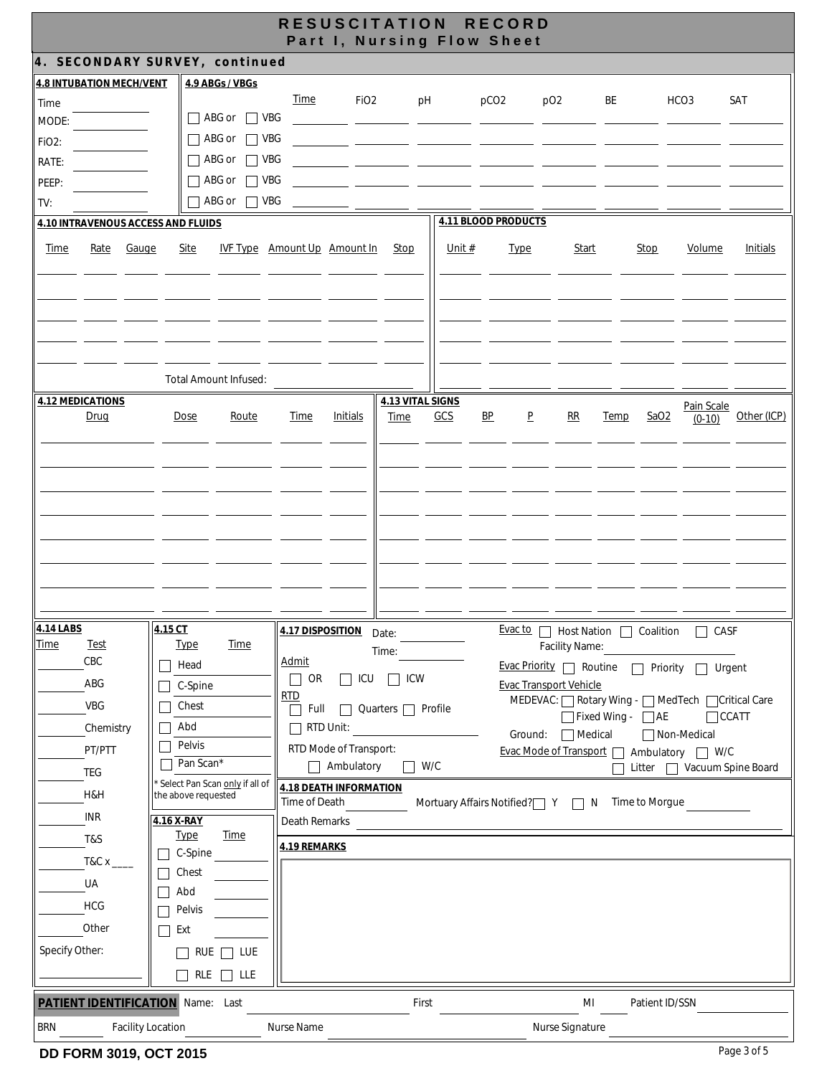|                                                                                                                        |                                                                                                                                                                                                                        |                                                                                                                       | RESUSCITATION RECORD<br>Part I, Nursing Flow Sheet                                                                                                                         |                         |                                    |                                                                                                                                                                                                                                                              |                                       |                                              |                 |
|------------------------------------------------------------------------------------------------------------------------|------------------------------------------------------------------------------------------------------------------------------------------------------------------------------------------------------------------------|-----------------------------------------------------------------------------------------------------------------------|----------------------------------------------------------------------------------------------------------------------------------------------------------------------------|-------------------------|------------------------------------|--------------------------------------------------------------------------------------------------------------------------------------------------------------------------------------------------------------------------------------------------------------|---------------------------------------|----------------------------------------------|-----------------|
|                                                                                                                        | 4. SECONDARY SURVEY, continued                                                                                                                                                                                         |                                                                                                                       |                                                                                                                                                                            |                         |                                    |                                                                                                                                                                                                                                                              |                                       |                                              |                 |
| <b>4.8 INTUBATION MECH/VENT</b><br>Time                                                                                | 4.9 ABGs / VBGs                                                                                                                                                                                                        | <b>Time</b>                                                                                                           | FiO <sub>2</sub>                                                                                                                                                           | pH                      | pCO <sub>2</sub>                   | pO <sub>2</sub>                                                                                                                                                                                                                                              | BE                                    | HCO <sub>3</sub>                             | SAT             |
| MODE:<br>FiO <sub>2</sub> :<br>RATE:<br>PEEP:                                                                          | $\sqcap$ ABG or $\sqcap$ VBG<br>ABG or<br>$\Box$ VBG<br>ABG or<br>$\Box$ VBG<br>ABG or<br>$\Box$ VBG                                                                                                                   |                                                                                                                       |                                                                                                                                                                            |                         |                                    |                                                                                                                                                                                                                                                              |                                       |                                              |                 |
| TV:                                                                                                                    | ABG or $\Box$ VBG                                                                                                                                                                                                      |                                                                                                                       |                                                                                                                                                                            |                         | 4.11 BLOOD PRODUCTS                |                                                                                                                                                                                                                                                              |                                       |                                              |                 |
| <b>4.10 INTRAVENOUS ACCESS AND FLUIDS</b><br><b>Time</b><br>Rate<br>Gauge                                              | Site                                                                                                                                                                                                                   | IVF Type Amount Up Amount In                                                                                          | Stop                                                                                                                                                                       | Unit $#$                | <b>Type</b>                        | <b>Start</b>                                                                                                                                                                                                                                                 | <b>Stop</b>                           | Volume                                       | <b>Initials</b> |
| <b>4.12 MEDICATIONS</b>                                                                                                | Total Amount Infused:                                                                                                                                                                                                  |                                                                                                                       |                                                                                                                                                                            | <b>4.13 VITAL SIGNS</b> |                                    |                                                                                                                                                                                                                                                              |                                       | Pain Scale                                   |                 |
|                                                                                                                        |                                                                                                                                                                                                                        |                                                                                                                       |                                                                                                                                                                            |                         |                                    |                                                                                                                                                                                                                                                              |                                       |                                              |                 |
| 4.14 LABS<br><b>Time</b><br><b>Test</b><br>CBC<br>ABG<br>VBG<br>Chemistry<br>PT/PTT<br>TEG<br>H&H<br><b>INR</b><br>T&S | 4.15 <sub>CT</sub><br><b>Type</b><br><b>Time</b><br>$\top$ Head<br>C-Spine<br>Chest<br>Abd<br>Pelvis<br>Pan Scan*<br>Select Pan Scan only if all of<br>the above requested<br>4.16 X-RAY<br><b>Time</b><br><b>Type</b> | Admit<br>$\Box$ OR<br><b>RTD</b><br>Full<br>$\Box$ RTD Unit:<br>Time of Death<br>Death Remarks<br><b>4.19 REMARKS</b> | 4.17 DISPOSITION Date:<br>Time:<br>$\Box$ ICU $\Box$ ICW<br>$\Box$ Quarters $\Box$ Profile<br>RTD Mode of Transport:<br>$\Box$ Ambulatory<br><b>4.18 DEATH INFORMATION</b> | $\Box$ W/C              | Mortuary Affairs Notified?   Y   N | Evac to □ Host Nation □ Coalition □ CASF<br>Facility Name:<br>Evac Priority Routine Priority I Urgent<br><b>Evac Transport Vehicle</b><br>MEDEVAC: \Rotary Wing - \RoldTech \Critical Care<br>Ground: □ Medical<br>Evac Mode of Transport   Ambulatory   W/C | □ Fixed Wing - □ AE<br>Time to Morgue | Non-Medical<br>□ Litter □ Vacuum Spine Board | $\Box$ CCATT    |
| $T&Cx$ <sub>_</sub><br>UA<br><b>HCG</b><br>Other<br>Specify Other:                                                     | C-Spine<br>Chest<br>Abd<br>Pelvis<br>Ext<br>RUE $\Box$ LUE<br>$\mathsf{L}$<br>RLE $\Box$ LLE                                                                                                                           |                                                                                                                       |                                                                                                                                                                            |                         |                                    |                                                                                                                                                                                                                                                              |                                       |                                              |                 |
| PATIENT IDENTIFICATION Name: Last<br><b>BRN</b>                                                                        | <b>Facility Location</b>                                                                                                                                                                                               | Nurse Name                                                                                                            |                                                                                                                                                                            | First                   |                                    | MI<br>Nurse Signature                                                                                                                                                                                                                                        | Patient ID/SSN                        |                                              |                 |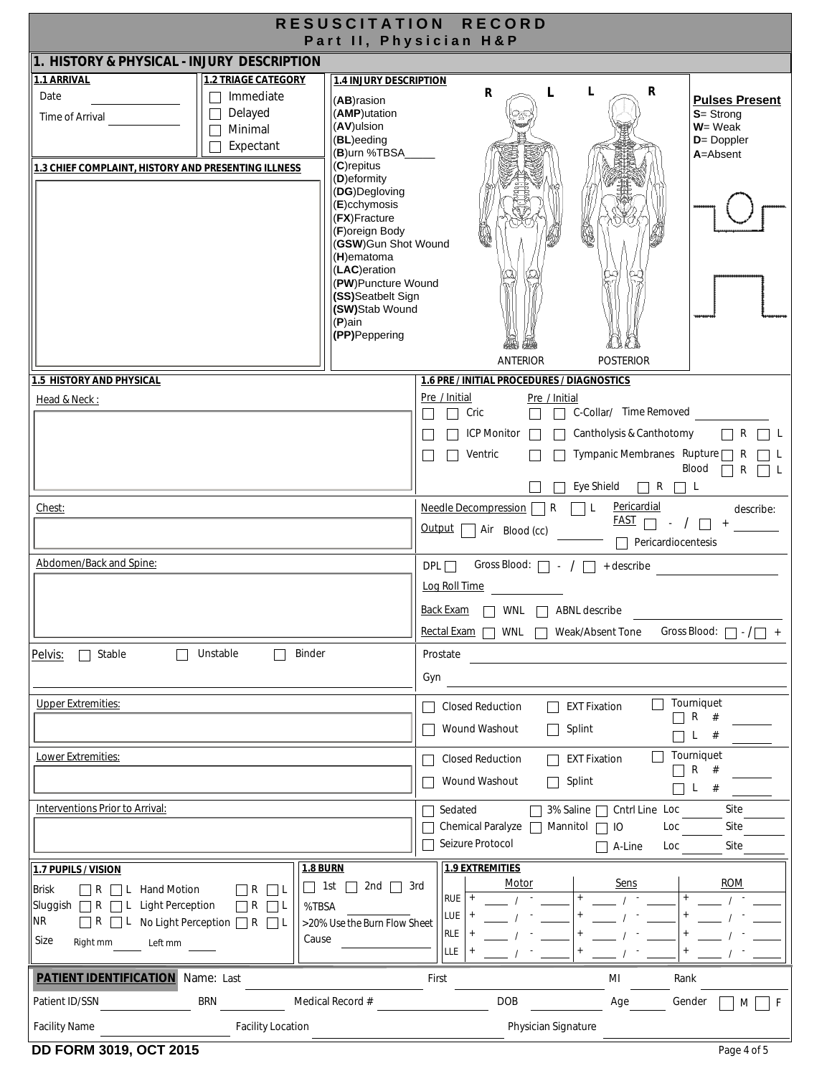| RESUSCITATION RECORD<br>Part II, Physician H&P                                                                                                                          |                                                                                     |  |  |  |  |  |
|-------------------------------------------------------------------------------------------------------------------------------------------------------------------------|-------------------------------------------------------------------------------------|--|--|--|--|--|
| 1. HISTORY & PHYSICAL - INJURY DESCRIPTION                                                                                                                              |                                                                                     |  |  |  |  |  |
| 1.1 ARRIVAL<br><b>1.2 TRIAGE CATEGORY</b><br><b>1.4 INJURY DESCRIPTION</b>                                                                                              |                                                                                     |  |  |  |  |  |
| Immediate<br>Date<br>(AB)rasion                                                                                                                                         | R<br>R<br>L<br><b>Pulses Present</b>                                                |  |  |  |  |  |
| Delayed<br>(AMP)utation<br>$\Box$<br>Time of Arrival                                                                                                                    | $S =$ Strong                                                                        |  |  |  |  |  |
| (AV)ulsion<br>Minimal                                                                                                                                                   | $W = Weak$                                                                          |  |  |  |  |  |
| (BL)eeding<br>Expectant<br>(B)urn %TBSA_                                                                                                                                | $D = Doppler$<br>A=Absent                                                           |  |  |  |  |  |
| $(C)$ repitus<br>1.3 CHIEF COMPLAINT, HISTORY AND PRESENTING ILLNESS                                                                                                    |                                                                                     |  |  |  |  |  |
| (D) eformity<br>(DG)Degloving                                                                                                                                           |                                                                                     |  |  |  |  |  |
| $(E)$ cchymosis                                                                                                                                                         |                                                                                     |  |  |  |  |  |
| (FX)Fracture                                                                                                                                                            |                                                                                     |  |  |  |  |  |
| (F)oreign Body<br>(GSW)Gun Shot Wound                                                                                                                                   |                                                                                     |  |  |  |  |  |
| $(H)$ ematoma                                                                                                                                                           |                                                                                     |  |  |  |  |  |
| (LAC)eration<br>(PW)Puncture Wound                                                                                                                                      |                                                                                     |  |  |  |  |  |
| (SS)Seatbelt Sign                                                                                                                                                       |                                                                                     |  |  |  |  |  |
| (SW)Stab Wound                                                                                                                                                          |                                                                                     |  |  |  |  |  |
| $(P)$ ain<br>(PP)Peppering                                                                                                                                              |                                                                                     |  |  |  |  |  |
|                                                                                                                                                                         |                                                                                     |  |  |  |  |  |
|                                                                                                                                                                         | <b>ANTERIOR</b><br><b>POSTERIOR</b>                                                 |  |  |  |  |  |
| <b>1.5 HISTORY AND PHYSICAL</b>                                                                                                                                         | 1.6 PRE / INITIAL PROCEDURES / DIAGNOSTICS                                          |  |  |  |  |  |
| Head & Neck:                                                                                                                                                            | Pre / Initial<br>Pre / Initial<br>C-Collar/ Time Removed<br>Cric                    |  |  |  |  |  |
|                                                                                                                                                                         |                                                                                     |  |  |  |  |  |
|                                                                                                                                                                         | Cantholysis & Canthotomy<br><b>ICP Monitor</b><br>$\mathsf{R}$                      |  |  |  |  |  |
|                                                                                                                                                                         | Tympanic Membranes Rupture □<br>Ventric<br>R<br>Blood                               |  |  |  |  |  |
|                                                                                                                                                                         | R<br>Eye Shield<br>$\Box$ R $\Box$<br>L.                                            |  |  |  |  |  |
| Chest:                                                                                                                                                                  | Pericardial<br>Needle Decompression<br>R<br>L<br>describe:                          |  |  |  |  |  |
|                                                                                                                                                                         | <u>FAST</u><br>$-$ /<br>$+$<br>Output<br>Air Blood (cc)                             |  |  |  |  |  |
|                                                                                                                                                                         | $\Box$ Pericardiocentesis                                                           |  |  |  |  |  |
| Abdomen/Back and Spine:                                                                                                                                                 | Gross Blood: $\Box$ - / $\Box$ + describe<br>$DPL \Box$                             |  |  |  |  |  |
|                                                                                                                                                                         | Log Roll Time                                                                       |  |  |  |  |  |
|                                                                                                                                                                         | Back Exam<br>WNL $\Box$ ABNL describe                                               |  |  |  |  |  |
|                                                                                                                                                                         | Gross Blood: $\Box \cdot \Box$<br>Rectal Exam $\Box$ WNL<br>Weak/Absent Tone<br>$+$ |  |  |  |  |  |
| Binder<br>Stable<br>Unstable                                                                                                                                            |                                                                                     |  |  |  |  |  |
| Pelvis:                                                                                                                                                                 | Prostate                                                                            |  |  |  |  |  |
|                                                                                                                                                                         | Gyn                                                                                 |  |  |  |  |  |
| <b>Upper Extremities:</b>                                                                                                                                               | Tourniquet<br><b>EXT Fixation</b><br><b>Closed Reduction</b>                        |  |  |  |  |  |
|                                                                                                                                                                         | $\Box$ R #<br>Wound Washout<br>Splint<br>$\vert \ \ \vert$                          |  |  |  |  |  |
|                                                                                                                                                                         | #<br>L.                                                                             |  |  |  |  |  |
| Lower Extremities:                                                                                                                                                      | Tourniquet<br><b>Closed Reduction</b><br><b>EXT Fixation</b><br>$\Box$ R #          |  |  |  |  |  |
|                                                                                                                                                                         | Wound Washout<br>Splint<br>$L$ #<br>$\Box$                                          |  |  |  |  |  |
| Interventions Prior to Arrival:                                                                                                                                         | Site<br>Sedated<br>3% Saline □ Cntrl Line Loc                                       |  |  |  |  |  |
|                                                                                                                                                                         | Chemical Paralyze   Mannitol<br>Site<br>IO<br>Loc                                   |  |  |  |  |  |
|                                                                                                                                                                         | Seizure Protocol<br>Site<br>A-Line<br>Loc                                           |  |  |  |  |  |
| <b>1.8 BURN</b><br>1.7 PUPILS / VISION                                                                                                                                  | <b>1.9 EXTREMITIES</b>                                                              |  |  |  |  |  |
| 2nd $\Box$ 3rd<br>    1st<br>$\perp$                                                                                                                                    | <b>ROM</b><br>Motor<br><u>Sens</u>                                                  |  |  |  |  |  |
| Brisk<br><b>Hand Motion</b><br>$\sqsupset$ R<br>$\vert \ \vert R$<br>$\Box$ L<br>L<br>Sluggish $\Box R \Box L$<br><b>Light Perception</b><br>$\Box$ R $\Box$ L<br>%TBSA | RUE                                                                                 |  |  |  |  |  |
| NR<br>$\Box$ R $\Box$ L No Light Perception $\Box$ R $\Box$ L<br>>20% Use the Burn Flow Sheet                                                                           | LUE                                                                                 |  |  |  |  |  |
| Cause<br>Size<br>Right mm                                                                                                                                               | <b>RLE</b>                                                                          |  |  |  |  |  |
| Left mm                                                                                                                                                                 | <b>LLE</b>                                                                          |  |  |  |  |  |
| <b>PATIENT IDENTIFICATION</b> Name: Last<br>First<br>МI<br>Rank                                                                                                         |                                                                                     |  |  |  |  |  |
| <b>DOB</b><br><b>BRN</b><br>Medical Record #<br>Patient ID/SSN<br>Age<br>Gender<br>F<br>M                                                                               |                                                                                     |  |  |  |  |  |
| Physician Signature<br><b>Facility Name</b><br><b>Facility Location</b>                                                                                                 |                                                                                     |  |  |  |  |  |
|                                                                                                                                                                         |                                                                                     |  |  |  |  |  |